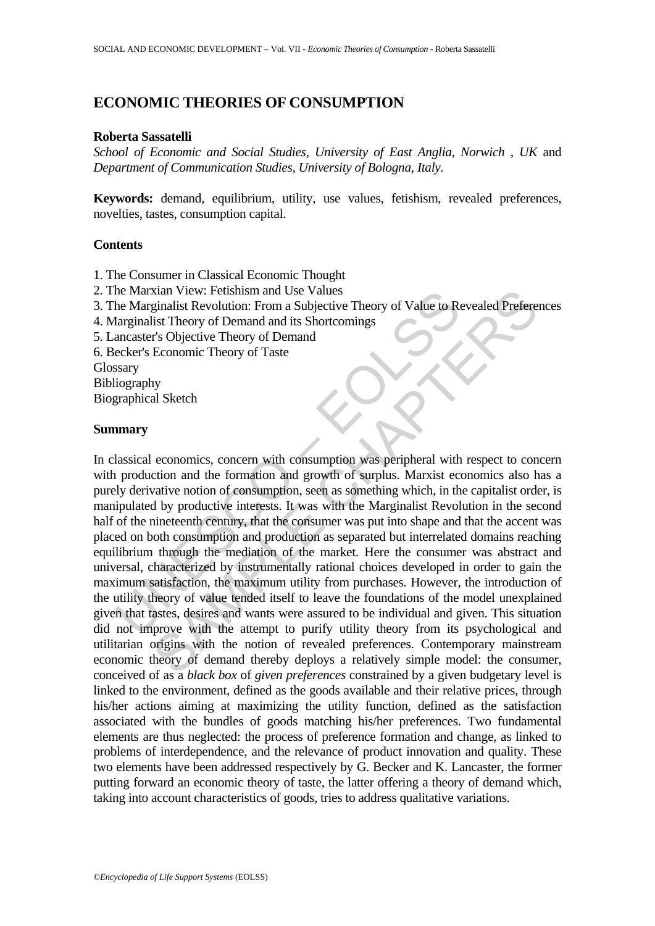# **ECONOMIC THEORIES OF CONSUMPTION**

### **Roberta Sassatelli**

*School of Economic and Social Studies, University of East Anglia, Norwich , UK* and *Department of Communication Studies, University of Bologna, Italy.* 

**Keywords:** demand, equilibrium, utility, use values, fetishism, revealed preferences, novelties, tastes, consumption capital.

### **Contents**

- 1. The Consumer in Classical Economic Thought
- 2. The Marxian View: Fetishism and Use Values
- 3. The Marginalist Revolution: From a Subjective Theory of Value to Revealed Preferences
- 4. Marginalist Theory of Demand and its Shortcomings
- 5. Lancaster's Objective Theory of Demand
- 6. Becker's Economic Theory of Taste

**Glossary** 

Bibliography

Biographical Sketch

## **Summary**

The Marxinan View: Petishism and Use Values<br>
he Marginalist Theolytution: From a Subjective Theory of Value to Re<br>
Itarginalist Theory of Demand and its Shortcomings<br>
ancaster's Objective Theory of Demand<br>
ecker's Economic Xian View: Fetishism and Use Values<br>
eginalist Revolution: From a Subjective Theory of Value to Revealed Prefere<br>
ginalist Revolution: From a Subjective Theory of Demand<br>
Economic Theory of Demand<br>
Economic Theory of Deman In classical economics, concern with consumption was peripheral with respect to concern with production and the formation and growth of surplus. Marxist economics also has a purely derivative notion of consumption, seen as something which, in the capitalist order, is manipulated by productive interests. It was with the Marginalist Revolution in the second half of the nineteenth century, that the consumer was put into shape and that the accent was placed on both consumption and production as separated but interrelated domains reaching equilibrium through the mediation of the market. Here the consumer was abstract and universal, characterized by instrumentally rational choices developed in order to gain the maximum satisfaction, the maximum utility from purchases. However, the introduction of the utility theory of value tended itself to leave the foundations of the model unexplained given that tastes, desires and wants were assured to be individual and given. This situation did not improve with the attempt to purify utility theory from its psychological and utilitarian origins with the notion of revealed preferences. Contemporary mainstream economic theory of demand thereby deploys a relatively simple model: the consumer, conceived of as a *black box* of *given preferences* constrained by a given budgetary level is linked to the environment, defined as the goods available and their relative prices, through his/her actions aiming at maximizing the utility function, defined as the satisfaction associated with the bundles of goods matching his/her preferences. Two fundamental elements are thus neglected: the process of preference formation and change, as linked to problems of interdependence, and the relevance of product innovation and quality. These two elements have been addressed respectively by G. Becker and K. Lancaster, the former putting forward an economic theory of taste, the latter offering a theory of demand which, taking into account characteristics of goods, tries to address qualitative variations.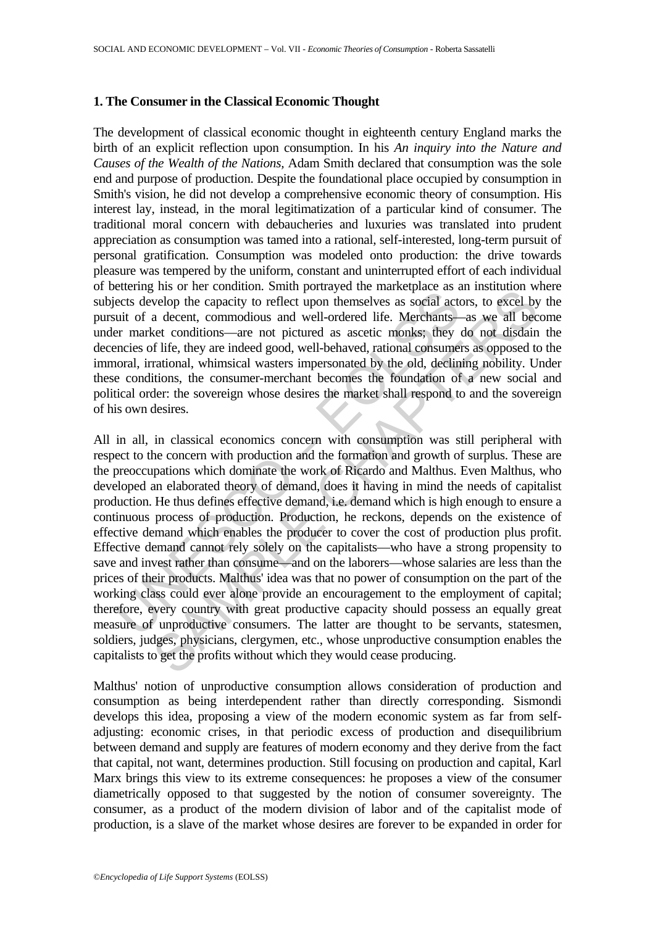## **1. The Consumer in the Classical Economic Thought**

The development of classical economic thought in eighteenth century England marks the birth of an explicit reflection upon consumption. In his *An inquiry into the Nature and Causes of the Wealth of the Nations,* Adam Smith declared that consumption was the sole end and purpose of production. Despite the foundational place occupied by consumption in Smith's vision, he did not develop a comprehensive economic theory of consumption. His interest lay, instead, in the moral legitimatization of a particular kind of consumer. The traditional moral concern with debaucheries and luxuries was translated into prudent appreciation as consumption was tamed into a rational, self-interested, long-term pursuit of personal gratification. Consumption was modeled onto production: the drive towards pleasure was tempered by the uniform, constant and uninterrupted effort of each individual of bettering his or her condition. Smith portrayed the marketplace as an institution where subjects develop the capacity to reflect upon themselves as social actors, to excel by the pursuit of a decent, commodious and well-ordered life. Merchants—as we all become under market conditions—are not pictured as ascetic monks; they do not disdain the decencies of life, they are indeed good, well-behaved, rational consumers as opposed to the immoral, irrational, whimsical wasters impersonated by the old, declining nobility. Under these conditions, the consumer-merchant becomes the foundation of a new social and political order: the sovereign whose desires the market shall respond to and the sovereign of his own desires.

ection genus of net contained the contained and potential particulate as excelled are the earth control and well-ordered life. Merchants-<br>ects develop the capacity to reflect upon themselves as social act<br>uit of a decent, Fins on the containing burstay and puralised as an instance as a missing or evelop the capacity to reflect upon themselves as social actors, to excel by a decent, commodious and well-ordered life. Merchants—as we all becet All in all, in classical economics concern with consumption was still peripheral with respect to the concern with production and the formation and growth of surplus. These are the preoccupations which dominate the work of Ricardo and Malthus. Even Malthus, who developed an elaborated theory of demand, does it having in mind the needs of capitalist production. He thus defines effective demand, i.e. demand which is high enough to ensure a continuous process of production. Production, he reckons, depends on the existence of effective demand which enables the producer to cover the cost of production plus profit. Effective demand cannot rely solely on the capitalists—who have a strong propensity to save and invest rather than consume—and on the laborers—whose salaries are less than the prices of their products. Malthus' idea was that no power of consumption on the part of the working class could ever alone provide an encouragement to the employment of capital; therefore, every country with great productive capacity should possess an equally great measure of unproductive consumers. The latter are thought to be servants, statesmen, soldiers, judges, physicians, clergymen, etc., whose unproductive consumption enables the capitalists to get the profits without which they would cease producing.

Malthus' notion of unproductive consumption allows consideration of production and consumption as being interdependent rather than directly corresponding. Sismondi develops this idea, proposing a view of the modern economic system as far from selfadjusting: economic crises, in that periodic excess of production and disequilibrium between demand and supply are features of modern economy and they derive from the fact that capital, not want, determines production. Still focusing on production and capital, Karl Marx brings this view to its extreme consequences: he proposes a view of the consumer diametrically opposed to that suggested by the notion of consumer sovereignty. The consumer, as a product of the modern division of labor and of the capitalist mode of production, is a slave of the market whose desires are forever to be expanded in order for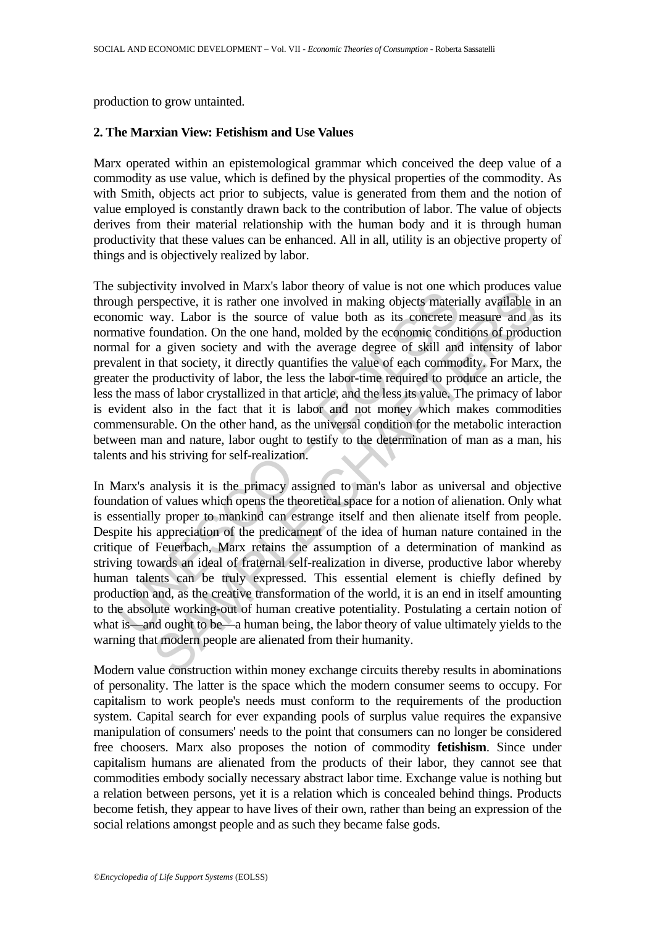production to grow untainted.

# **2. The Marxian View: Fetishism and Use Values**

Marx operated within an epistemological grammar which conceived the deep value of a commodity as use value, which is defined by the physical properties of the commodity. As with Smith, objects act prior to subjects, value is generated from them and the notion of value employed is constantly drawn back to the contribution of labor. The value of objects derives from their material relationship with the human body and it is through human productivity that these values can be enhanced. All in all, utility is an objective property of things and is objectively realized by labor.

sugged to making movies and many also than the state of the world by the section push perspective, it is rather one involved in making objects materion<br>nonic way. Labor is the source of value both as its concrete matrice f Expective, it is rather on invary sample of variat is not once when puotates<br>
way. Labor is the source of value both as its concrete measure and a<br>
boundation. On the one hand, molded by the economic conditions of product The subjectivity involved in Marx's labor theory of value is not one which produces value through perspective, it is rather one involved in making objects materially available in an economic way. Labor is the source of value both as its concrete measure and as its normative foundation. On the one hand, molded by the economic conditions of production normal for a given society and with the average degree of skill and intensity of labor prevalent in that society, it directly quantifies the value of each commodity. For Marx, the greater the productivity of labor, the less the labor-time required to produce an article, the less the mass of labor crystallized in that article, and the less its value. The primacy of labor is evident also in the fact that it is labor and not money which makes commodities commensurable. On the other hand, as the universal condition for the metabolic interaction between man and nature, labor ought to testify to the determination of man as a man, his talents and his striving for self-realization.

In Marx's analysis it is the primacy assigned to man's labor as universal and objective foundation of values which opens the theoretical space for a notion of alienation. Only what is essentially proper to mankind can estrange itself and then alienate itself from people. Despite his appreciation of the predicament of the idea of human nature contained in the critique of Feuerbach, Marx retains the assumption of a determination of mankind as striving towards an ideal of fraternal self-realization in diverse, productive labor whereby human talents can be truly expressed. This essential element is chiefly defined by production and, as the creative transformation of the world, it is an end in itself amounting to the absolute working-out of human creative potentiality. Postulating a certain notion of what is—and ought to be—a human being, the labor theory of value ultimately yields to the warning that modern people are alienated from their humanity.

Modern value construction within money exchange circuits thereby results in abominations of personality. The latter is the space which the modern consumer seems to occupy. For capitalism to work people's needs must conform to the requirements of the production system. Capital search for ever expanding pools of surplus value requires the expansive manipulation of consumers' needs to the point that consumers can no longer be considered free choosers. Marx also proposes the notion of commodity **fetishism**. Since under capitalism humans are alienated from the products of their labor, they cannot see that commodities embody socially necessary abstract labor time. Exchange value is nothing but a relation between persons, yet it is a relation which is concealed behind things. Products become fetish, they appear to have lives of their own, rather than being an expression of the social relations amongst people and as such they became false gods.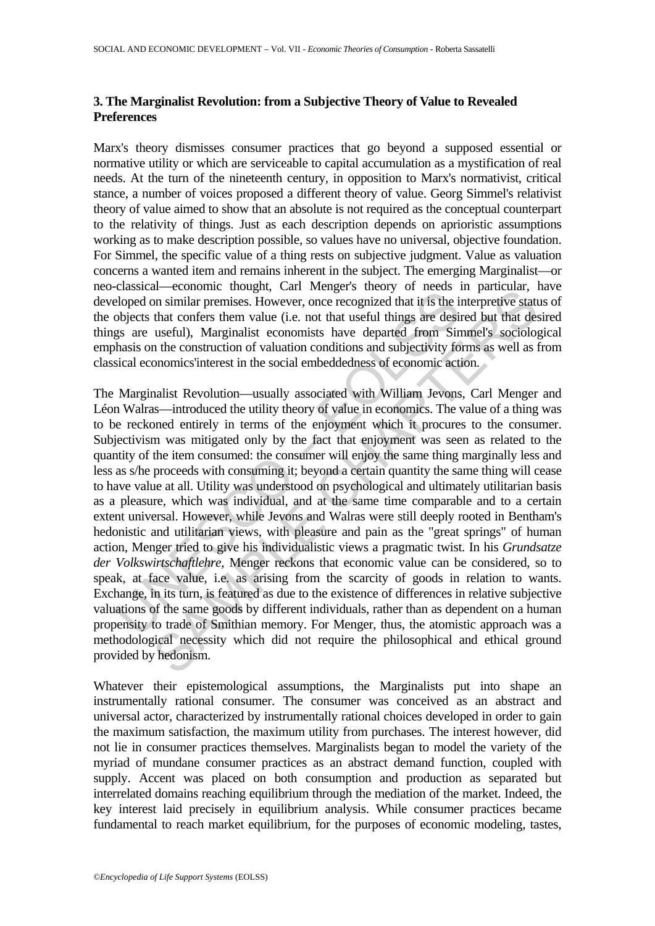# **3. The Marginalist Revolution: from a Subjective Theory of Value to Revealed Preferences**

Marx's theory dismisses consumer practices that go beyond a supposed essential or normative utility or which are serviceable to capital accumulation as a mystification of real needs. At the turn of the nineteenth century, in opposition to Marx's normativist, critical stance, a number of voices proposed a different theory of value. Georg Simmel's relativist theory of value aimed to show that an absolute is not required as the conceptual counterpart to the relativity of things. Just as each description depends on aprioristic assumptions working as to make description possible, so values have no universal, objective foundation. For Simmel, the specific value of a thing rests on subjective judgment. Value as valuation concerns a wanted item and remains inherent in the subject. The emerging Marginalist—or neo-classical—economic thought, Carl Menger's theory of needs in particular, have developed on similar premises. However, once recognized that it is the interpretive status of the objects that confers them value (i.e. not that useful things are desired but that desired things are useful), Marginalist economists have departed from Simmel's sociological emphasis on the construction of valuation conditions and subjectivity forms as well as from classical economics'interest in the social embeddedness of economic action.

eloped on similar premises. However, once recognized that it is the beholomon similar premises. However, once recognized that it is the in-<br>objects that confers them value (i.e. not that useful things are desired<br>polyects and Consumer unique, can investigate, can investigate that consumer consumer consumer to mon similar premises. However, once recognized that it is the interpretive state that confers them value (i.e. not that useful hings The Marginalist Revolution—usually associated with William Jevons, Carl Menger and Léon Walras—introduced the utility theory of value in economics. The value of a thing was to be reckoned entirely in terms of the enjoyment which it procures to the consumer. Subjectivism was mitigated only by the fact that enjoyment was seen as related to the quantity of the item consumed: the consumer will enjoy the same thing marginally less and less as s/he proceeds with consuming it; beyond a certain quantity the same thing will cease to have value at all. Utility was understood on psychological and ultimately utilitarian basis as a pleasure, which was individual, and at the same time comparable and to a certain extent universal. However, while Jevons and Walras were still deeply rooted in Bentham's hedonistic and utilitarian views, with pleasure and pain as the "great springs" of human action, Menger tried to give his individualistic views a pragmatic twist. In his *Grundsatze der Volkswirtschaftlehre*, Menger reckons that economic value can be considered, so to speak, at face value, i.e. as arising from the scarcity of goods in relation to wants. Exchange, in its turn, is featured as due to the existence of differences in relative subjective valuations of the same goods by different individuals, rather than as dependent on a human propensity to trade of Smithian memory. For Menger, thus, the atomistic approach was a methodological necessity which did not require the philosophical and ethical ground provided by hedonism.

Whatever their epistemological assumptions, the Marginalists put into shape an instrumentally rational consumer. The consumer was conceived as an abstract and universal actor, characterized by instrumentally rational choices developed in order to gain the maximum satisfaction, the maximum utility from purchases. The interest however, did not lie in consumer practices themselves. Marginalists began to model the variety of the myriad of mundane consumer practices as an abstract demand function, coupled with supply. Accent was placed on both consumption and production as separated but interrelated domains reaching equilibrium through the mediation of the market. Indeed, the key interest laid precisely in equilibrium analysis. While consumer practices became fundamental to reach market equilibrium, for the purposes of economic modeling, tastes,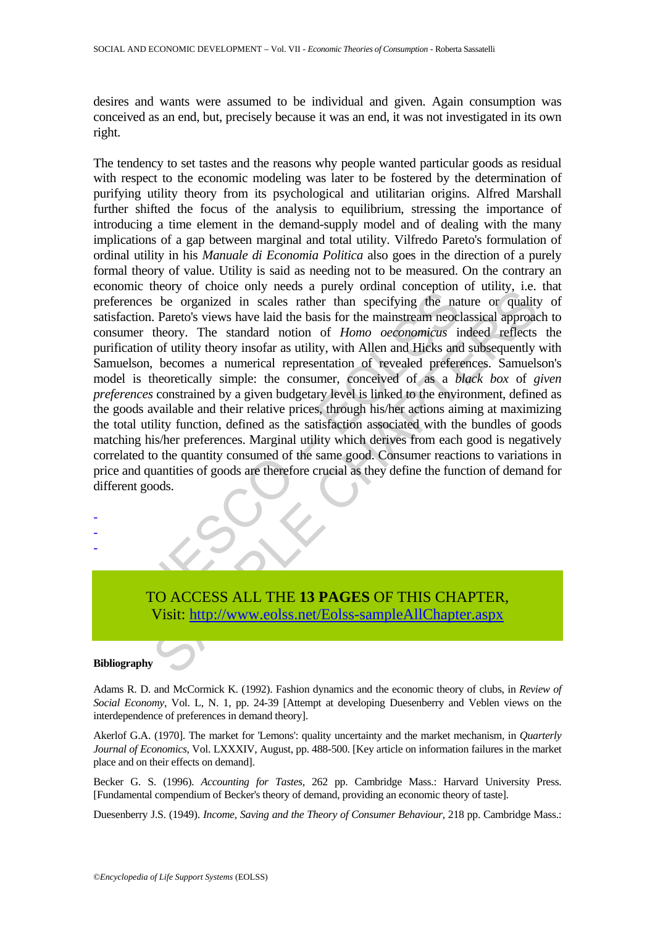desires and wants were assumed to be individual and given. Again consumption was conceived as an end, but, precisely because it was an end, it was not investigated in its own right.

Exame theory of entered and process a particle members be organized in scales rather than specifying the nation-<br>ferences be organized in scales rather than specifying the nation-<br>faction. Pareto's views have laid the basi The original state and the based and the original control and the original control of the original control of *Homo oeconomicias* indeed reflects the mainstream incollation of *Homo oeconomicias* indeed reflects to fullify The tendency to set tastes and the reasons why people wanted particular goods as residual with respect to the economic modeling was later to be fostered by the determination of purifying utility theory from its psychological and utilitarian origins. Alfred Marshall further shifted the focus of the analysis to equilibrium, stressing the importance of introducing a time element in the demand-supply model and of dealing with the many implications of a gap between marginal and total utility. Vilfredo Pareto's formulation of ordinal utility in his *Manuale di Economia Politica* also goes in the direction of a purely formal theory of value. Utility is said as needing not to be measured. On the contrary an economic theory of choice only needs a purely ordinal conception of utility, i.e. that preferences be organized in scales rather than specifying the nature or quality of satisfaction. Pareto's views have laid the basis for the mainstream neoclassical approach to consumer theory. The standard notion of *Homo oeconomicus* indeed reflects the purification of utility theory insofar as utility, with Allen and Hicks and subsequently with Samuelson, becomes a numerical representation of revealed preferences. Samuelson's model is theoretically simple: the consumer, conceived of as a *black box* of *given preferences* constrained by a given budgetary level is linked to the environment, defined as the goods available and their relative prices, through his/her actions aiming at maximizing the total utility function, defined as the satisfaction associated with the bundles of goods matching his/her preferences. Marginal utility which derives from each good is negatively correlated to the quantity consumed of the same good. Consumer reactions to variations in price and quantities of goods are therefore crucial as they define the function of demand for different goods.

# TO ACCESS ALL THE **13 PAGES** OF THIS CHAPTER, Visit: http://www.eolss.net/Eolss-sampleAllChapter.aspx

#### **Bibliography**

- - -

Adams R. D. and McCormick K. (1992). Fashion dynamics and the economic theory of clubs, in *Review of Social Economy*, Vol. L, N. 1, pp. 24-39 [Attempt at developing Duesenberry and Veblen views on the interdependence of preferences in demand theory].

Akerlof G.A. (1970]. The market for 'Lemons': quality uncertainty and the market mechanism, in *Quarterly Journal of Economics*, Vol. LXXXIV, August, pp. 488-500. [Key article on information failures in the market place and on their effects on demand].

Becker G. S. (1996). *Accounting for Tastes*, 262 pp. Cambridge Mass.: Harvard University Press. [Fundamental compendium of Becker's theory of demand, providing an economic theory of taste].

Duesenberry J.S. (1949). *Income, Saving and the Theory of Consumer Behaviour*, 218 pp. Cambridge Mass.: